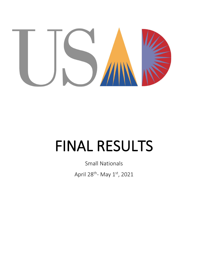

# **FINAL RESULTS**

**Small Nationals** April 28<sup>th</sup>- May 1st, 2021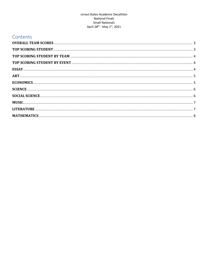#### United States Academic Decathlon **National Finals** Small Nationals April 28<sup>th</sup> - May 1st, 2021

# Contents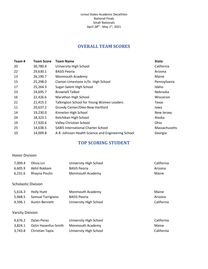# **OVERALL TEAM SCORES**

<span id="page-2-0"></span>

| Team# | <b>Team Score</b> | Team Name                                          | <b>State</b>  |
|-------|-------------------|----------------------------------------------------|---------------|
| 20    | 30,780.4          | University High School                             | California    |
| 22    | 29,630.1          | <b>BASIS Peoria</b>                                | Arizona       |
| 13    | 26,190.7          | Monmouth Academy                                   | Maine         |
| 15    | 25,298.0          | Clarion-Limestone Jr/Sr. High School               | Pennsylvania  |
| 17    | 25,264.3          | Sugar-Salem High School                            | Idaho         |
| 23    | 24,695.7          | <b>Brownell Talbot</b>                             | Nebraska      |
| 16    | 22,426.6          | Marathon High School                               | Wisconsin     |
| 21    | 21,415.1          | Talkington School for Young Women Leaders          | Texas         |
| 11    | 20,637.2          | Grundy Center/Dike-New Hartford                    | Iowa          |
| 14    | 19,230.0          | Kinnelon High School                               | New Jersey    |
| 24    | 18,323.1          | Ketchikan High School                              | Alaska        |
| 19    | 17,920.6          | Valley Christian School                            | Ohio          |
| 25    | 14,638.5          | <b>SABIS International Charter School</b>          | Massachusetts |
| 10    | 14,009.8          | A.R. Johnson Health Science and Engineering School | Georgia       |

# **TOP SCORING STUDENT**

#### <span id="page-2-1"></span>Honor Division

| 7,009.4                    | Olivia Lin           | University High School  | California |
|----------------------------|----------------------|-------------------------|------------|
| 6,605.9                    | Akhil Rokkam         | <b>BASIS Peoria</b>     | Arizona    |
| 6,231.6                    | Rhayna Poulin        | Monmouth Academy        | Maine      |
| <b>Scholastic Division</b> |                      |                         |            |
| 5,616.3                    | <b>Holly Hunt</b>    | Monmouth Academy        | Maine      |
| 5,468.5                    | Samual Turrigiano    | <b>BASIS Peoria</b>     | Arizona    |
| 4,596.1                    | Austin Bennett       | University High School  | California |
| <b>Varsity Division</b>    |                      |                         |            |
| 4,676.2                    | Dylan Perez          | University High School  | California |
| 3,824.1                    | Ostin Hasenfus-Smith | <b>Monmouth Academy</b> | Maine      |
| 3,743.8                    | Christian Tapia      | University High School  | California |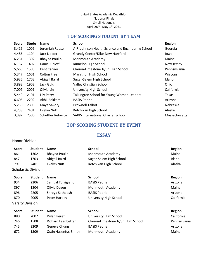#### United States Academic Decathlon National Finals Small Nationals April 28<sup>th</sup> - May 1<sup>st</sup>, 2021

# **TOP SCORING STUDENT BY TEAM**

<span id="page-3-0"></span>

| <b>Score</b> | <b>Stude</b> | <b>Name</b>         | <b>School</b>                                      | <b>Region</b> |
|--------------|--------------|---------------------|----------------------------------------------------|---------------|
| 3,415        | 1006         | Jeremiah Reese      | A.R. Johnson Health Science and Engineering School | Georgia       |
| 4,486        | 1104         | Jack Nolder         | Grundy Center/Dike-New Hartford                    | lowa          |
| 6,231        | 1302         | Rhayna Poulin       | Monmouth Academy                                   | Maine         |
| 6,157        | 1402         | Daniel Chioffi      | Kinnelon High School                               | New Jersey    |
| 5,669        | 1503         | <b>Kent Carrier</b> | Clarion-Limestone Jr/Sr. High School               | Pennsylvania  |
| 5,347        | 1601         | <b>Colton Free</b>  | Marathon High School                               | Wisconsin     |
| 5,935        | 1703         | Abigail Baird       | Sugar-Salem High School                            | Idaho         |
| 3,893        | 1902         | Jack Gulu           | Valley Christian School                            | <b>Ohio</b>   |
| 7,009        | 2001         | Olivia Lin          | University High School                             | California    |
| 5,449        | 2101         | Lily Perry          | Talkington School for Young Women Leaders          | Texas         |
| 6,605        | 2202         | Akhil Rokkam        | <b>BASIS Peoria</b>                                | Arizona       |
| 5,250        | 2303         | Maya Savory         | <b>Brownell Talbot</b>                             | Nebraska      |
| 4,738        | 2401         | Evelyn Nutt         | Ketchikan High School                              | Alaska        |
| 3,392        | 2506         | Scheffler Rebecca   | <b>SABIS International Charter School</b>          | Massachusetts |

# **TOP SCORING STUDENT BY EVENT**

# **ESSAY**

#### <span id="page-3-2"></span><span id="page-3-1"></span>Honor Division

| <b>Score</b> | <b>Student</b>             | <b>Name</b>   | School                  | Region |
|--------------|----------------------------|---------------|-------------------------|--------|
| 861          | 1302                       | Rhayna Poulin | Monmouth Academy        | Maine  |
| 847          | 1703                       | Abigail Baird | Sugar-Salem High School | Idaho  |
| 791          | 2401                       | Evelyn Nutt   | Ketchikan High School   | Alaska |
|              | <b>Scholastic Division</b> |               |                         |        |

| Score | <b>Student</b>          | <b>Name</b>       | <b>School</b>           | Region     |
|-------|-------------------------|-------------------|-------------------------|------------|
| 934   | 2206                    | Samual Turrigiano | <b>BASIS Peoria</b>     | Arizona    |
| 897   | 1304                    | Olivia Degen      | <b>Monmouth Academy</b> | Maine      |
| 896   | 2205                    | Shreya Satheesh   | <b>BASIS Peoria</b>     | Arizona    |
| 870   | 2005                    | Peter Hartley     | University High School  | California |
|       | <b>Varsity Division</b> |                   |                         |            |

| <b>Score</b> | <b>Student</b> | <b>Name</b>          | <b>School</b>                        | <b>Region</b> |
|--------------|----------------|----------------------|--------------------------------------|---------------|
| 880          | 2007           | Dylan Perez          | University High School               | California    |
| 746          | 1508           | Richard Leadbetter   | Clarion-Limestone Jr/Sr. High School | Pennsylvania  |
| 745          | 2209           | Geneva Chung         | <b>BASIS Peoria</b>                  | Arizona       |
| 672          | 1309           | Ostin Hasenfus-Smith | <b>Monmouth Academy</b>              | Maine         |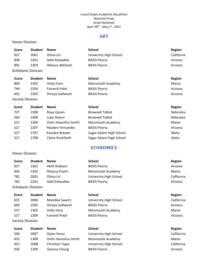#### United States Academic Decathlon National Finals Small Nationals April 28<sup>th</sup> - May 1<sup>st</sup>, 2021

## **ART**

#### <span id="page-4-0"></span>Honor Division

<span id="page-4-1"></span>Honor Division

| <b>Score</b>     | <b>Student</b>      | <b>Name</b>         | <b>School</b>          | <b>Region</b> |
|------------------|---------------------|---------------------|------------------------|---------------|
| 927              | 2001                | Olivia Lin          | University High School | California    |
| 909              | 2201                | Aditi Kelwalkar     | <b>BASIS Peoria</b>    | Arizona       |
| 891              | 2203                | Abhave Abhilash     | <b>BASIS Peoria</b>    | Arizona       |
|                  | Scholastic Division |                     |                        |               |
| <b>Score</b>     | <b>Student</b>      | <b>Name</b>         | <b>School</b>          | <b>Region</b> |
| 800              | 1305                | <b>Holly Hunt</b>   | Monmouth Academy       | Maine         |
| 746              | 2204                | <b>Famesh Patel</b> | <b>BASIS Peoria</b>    | Arizona       |
| 691              | 2205                | Shreya Satheesh     | <b>BASIS Peoria</b>    | Arizona       |
| Varsity Division |                     |                     |                        |               |
| <b>Score</b>     | <b>Studant</b>      | Name                | School                 | Region        |

| <b>Score</b> | <b>Student</b> | <b>Name</b>          | <b>School</b>           | Region   |
|--------------|----------------|----------------------|-------------------------|----------|
| 727          | 2308           | Roya Qazen           | <b>Brownell Talbot</b>  | Nebraska |
| 564          | 2309           | Luke Sherer          | <b>Brownell Talbot</b>  | Nebraska |
| 527          | 1309           | Ostin Hasenfus-Smith | Monmouth Academy        | Maine    |
| 527          | 2207           | Reuben Fernandes     | <b>BASIS Peoria</b>     | Arizona  |
| 527          | 1707           | Kasidee Brewer       | Sugar-Salem High School | Idaho    |
| 527          | 1708           | Claire Rushforth     | Sugar-Salem High School | Idaho    |

# **ECONOMICS**

| <b>Score</b>            | <b>Student</b>             | Name                 | <b>School</b>          | <b>Region</b> |
|-------------------------|----------------------------|----------------------|------------------------|---------------|
| 927                     | 2202                       | Akhil Rokkam         | <b>BASIS Peoria</b>    | Arizona       |
| 836                     | 1302                       | Rhayna Poulin        | Monmouth Academy       | Maine         |
| 782                     | 2001                       | Olivia Lin           | University High School | California    |
| 782                     | 2201                       | Aditi Kelwalkar      | <b>BASIS Peoria</b>    | Arizona       |
|                         | <b>Scholastic Division</b> |                      |                        |               |
| <b>Score</b>            | <b>Student</b>             | <b>Name</b>          | <b>School</b>          | <b>Region</b> |
| 655                     | 2006                       | Mandika Swartz       | University High School | California    |
| 600                     | 2205                       | Shreya Satheesh      | <b>BASIS Peoria</b>    | Arizona       |
| 527                     | 1305                       | Holly Hunt           | Monmouth Academy       | Maine         |
| 527                     | 2204                       | Famesh Patel         | <b>BASIS Peoria</b>    | Arizona       |
| <b>Varsity Division</b> |                            |                      |                        |               |
| <b>Score</b>            | <b>Student</b>             | <b>Name</b>          | <b>School</b>          | <b>Region</b> |
| 509                     | 2007                       | Dylan Perez          | University High School | California    |
| 455                     | 1309                       | Ostin Hasenfus-Smith | Monmouth Academy       | Maine         |
| 455                     | 2008                       | Christian Tapia      | University High School | California    |
| 436                     | 2209                       | Geneva Chung         | <b>BASIS Peoria</b>    | Arizona       |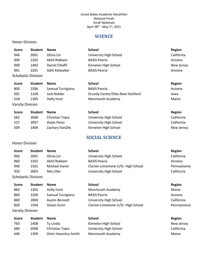#### United States Academic Decathlon National Finals Small Nationals April 28<sup>th</sup> - May 1<sup>st</sup>, 2021

## **SCIENCE**

#### <span id="page-5-0"></span>Honor Division

<span id="page-5-1"></span>Honor Division

| Score                      | <b>Student</b> | <b>Name</b>     | <b>School</b>          | Region     |
|----------------------------|----------------|-----------------|------------------------|------------|
| 946                        | 2001           | Olivia Lin      | University High School | California |
| 909                        | 2202           | Akhil Rokkam    | <b>BASIS Peoria</b>    | Arizona    |
| 909                        | 1402           | Daniel Chioffi  | Kinnelon High School   | New Jersey |
| 891                        | 2201           | Aditi Kelwalkar | <b>BASIS Peoria</b>    | Arizona    |
| <b>Scholastic Division</b> |                |                 |                        |            |

| <b>Score</b>            | <b>Student</b> | <b>Name</b>       | School                          | Region  |
|-------------------------|----------------|-------------------|---------------------------------|---------|
| 800                     | 2206           | Samual Turrigiano | <b>BASIS Peoria</b>             | Arizona |
| 691                     | 1104           | Jack Nolder       | Grundy Center/Dike-New Hartford | lowa    |
| 618                     | 1305           | Holly Hunt        | <b>Monmouth Academy</b>         | Maine   |
| <b>Varsity Division</b> |                |                   |                                 |         |

| <b>Score</b> | <b>Student</b> | <b>Name</b>     | <b>School</b>          | Region     |
|--------------|----------------|-----------------|------------------------|------------|
| 582          | 2008           | Christian Tapia | University High School | California |
| 527          | 2007           | Dylan Perez     | University High School | California |
| 509          | 1409           | Zachary VanZile | Kinnelon High School   | New Jersey |

# **SOCIAL SCIENCE**

| <b>Score</b>               | <b>Student</b> | <b>Name</b>   | <b>School</b>                        | Region       |
|----------------------------|----------------|---------------|--------------------------------------|--------------|
| 960                        | 2001           | Olivia Lin    | University High School               | California   |
| 960                        | 2202           | Akhil Rokkam  | <b>BASIS Peoria</b>                  | Arizona      |
| 940                        | 1501           | Michael Aaron | Clarion-Limestone Jr/Sr. High School | Pennsylvania |
| 920                        | 2003           | Mia Uller     | University High School               | California   |
| <b>Scholastic Division</b> |                |               |                                      |              |

Pennsylvania

| <b>Score</b>     | <b>Student</b> | <b>Name</b>           | <b>School</b>                        | Region     |
|------------------|----------------|-----------------------|--------------------------------------|------------|
| 860              | 1305           | Holly Hunt            | <b>Monmouth Academy</b>              | Maine      |
| 860              | 2206           | Samual Turrigiano     | <b>BASIS Peoria</b>                  | Arizona    |
| 840              | 2004           | <b>Austin Bennett</b> | University High School               | California |
| 820              | 1504           | Gavyn Dunn            | Clarion-Limestone Jr/Sr. High School | Pennsylva  |
| Varsity Division |                |                       |                                      |            |

| Score | <b>Student</b> | <b>Name</b>          | <b>School</b>          | Region     |
|-------|----------------|----------------------|------------------------|------------|
| 760   | 1408           | Tv Lindia            | Kinnelon High School   | New Jersey |
| 660   | 2008           | Christian Tapia      | University High School | California |
| 640   | 1309           | Ostin Hasenfus-Smith | Monmouth Academy       | Maine      |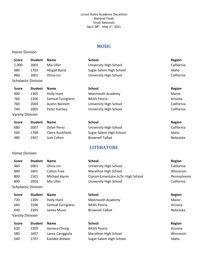#### **MUSIC**

#### <span id="page-6-0"></span>Honor Division

<span id="page-6-1"></span>Honor Division

Varsity Division

| <b>Score</b>               | <b>Student</b> | <b>Name</b>   | <b>School</b>           | Region     |
|----------------------------|----------------|---------------|-------------------------|------------|
| 1,000                      | 2003           | Mia Uller     | University High School  | California |
| 980                        | 1703           | Abigail Baird | Sugar-Salem High School | Idaho      |
| 960                        | 2001           | Olivia Lin    | University High School  | California |
| <b>Scholastic Division</b> |                |               |                         |            |
| <b>Score</b>               | <b>Student</b> | <b>Name</b>   | <b>School</b>           | Region     |

| 900 | 1305                    | <b>Holly Hunt</b>     | Monmouth Academy       | Maine      |
|-----|-------------------------|-----------------------|------------------------|------------|
| 760 | 2206                    | Samual Turrigiano     | <b>BASIS Peoria</b>    | Arizona    |
| 760 | 2004                    | <b>Austin Bennett</b> | University High School | California |
| 740 | 2005                    | Peter Hartley         | University High School | California |
|     | <b>Varsity Division</b> |                       |                        |            |

| <b>Score</b> | <b>Student</b> | <b>Name</b>      | School                  | Region     |
|--------------|----------------|------------------|-------------------------|------------|
| 680          | 2007           | Dylan Perez      | University High School  | California |
| 560          | 1708           | Claire Rushforth | Sugar-Salem High School | Idaho      |
| 480          | 2307           | Jack Cohen       | <b>Brownell Talbot</b>  | Nebraska   |

# **LITERATURE**

| <b>Score</b>               | <b>Student</b> | <b>Name</b>        | <b>School</b>                        | Region       |
|----------------------------|----------------|--------------------|--------------------------------------|--------------|
| 960                        | 2001           | Olivia Lin         | University High School               | California   |
| 840                        | 1601           | <b>Colton Free</b> | Marathon High School                 | Wisconsin    |
| 800                        | 1501           | Michael Aaron      | Clarion-Limestone Jr/Sr. High School | Pennsylvania |
| 800                        | 2003           | Mia Uller          | University High School               | California   |
| <b>Scholastic Division</b> |                |                    |                                      |              |
| <b>Score</b>               | <b>Student</b> | <b>Name</b>        | <b>School</b>                        | Region       |
| 720                        | 1305           | <b>Holly Hunt</b>  | Monmouth Academy                     | Maine        |

660 2206 Samual Turrigiano BASIS Peoria **Arizona** Arizona 640 2305 James Music Brownell Talbot Brownell Talbot Nebraska

| Score | <b>Student</b> | <b>Name</b>      | <b>School</b>           | <b>Region</b> |
|-------|----------------|------------------|-------------------------|---------------|
| 620   | 2209           | Geneva Chung     | <b>BASIS Peoria</b>     | Arizona       |
| 580   | 1607           | Lance Caviggiola | Marathon High School    | Wisconsin     |
| 540   | 1707           | Kasidee Brewer   | Sugar-Salem High School | Idaho         |